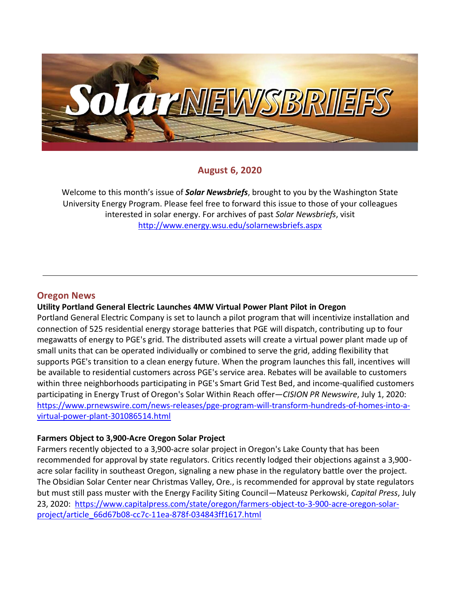

# **August 6, 2020**

Welcome to this month's issue of *Solar Newsbriefs*, brought to you by the Washington State University Energy Program. Please feel free to forward this issue to those of your colleagues interested in solar energy. For archives of past *Solar Newsbriefs*, visit <http://www.energy.wsu.edu/solarnewsbriefs.aspx>

### **Oregon News**

### **Utility Portland General Electric Launches 4MW Virtual Power Plant Pilot in Oregon**

Portland General Electric Company is set to launch a pilot program that will incentivize installation and connection of 525 residential energy storage batteries that PGE will dispatch, contributing up to four megawatts of energy to PGE's grid. The distributed assets will create a virtual power plant made up of small units that can be operated individually or combined to serve the grid, adding flexibility that supports PGE's transition to a clean energy future. When the program launches this fall, incentives will be available to residential customers across PGE's service area. Rebates will be available to customers within three neighborhoods participating i[n PGE's Smart Grid Test Bed,](https://c212.net/c/link/?t=0&l=en&o=2846161-1&h=2565515394&u=https%3A%2F%2Fwww.portlandgeneral.com%2Four-company%2Fenergy-strategy%2Fsmart-grid%2Fsmart-grid-test-bed&a=PGE%27s+Smart+Grid+Test+Bed) and income-qualified customers participating in Energy Trust of Oregon'[s Solar Within Reach](https://c212.net/c/link/?t=0&l=en&o=2846161-1&h=3736692472&u=https%3A%2F%2Fwww.energytrust.org%2Fincentives%2Fsolar-within-reach%2F&a=Solar+Within+Reach) offer—*CISION PR Newswire*, July 1, 2020: [https://www.prnewswire.com/news-releases/pge-program-will-transform-hundreds-of-homes-into-a](https://www.prnewswire.com/news-releases/pge-program-will-transform-hundreds-of-homes-into-a-virtual-power-plant-301086514.html)[virtual-power-plant-301086514.html](https://www.prnewswire.com/news-releases/pge-program-will-transform-hundreds-of-homes-into-a-virtual-power-plant-301086514.html)

#### **Farmers Object to 3,900-Acre Oregon Solar Project**

Farmers recently objected to a 3,900-acre solar project in Oregon's Lake County that has been recommended for approval by state regulators. Critics recently lodged their objections against a 3,900 acre solar facility in southeast Oregon, signaling a new phase in the regulatory battle over the project. The Obsidian Solar Center near Christmas Valley, Ore., is recommended for approval by state regulators but must still pass muster with the Energy Facility Siting Council—Mateusz Perkowski, *Capital Press*, July 23, 2020: [https://www.capitalpress.com/state/oregon/farmers-object-to-3-900-acre-oregon-solar](https://www.capitalpress.com/state/oregon/farmers-object-to-3-900-acre-oregon-solar-project/article_66d67b08-cc7c-11ea-878f-034843ff1617.html)[project/article\\_66d67b08-cc7c-11ea-878f-034843ff1617.html](https://www.capitalpress.com/state/oregon/farmers-object-to-3-900-acre-oregon-solar-project/article_66d67b08-cc7c-11ea-878f-034843ff1617.html)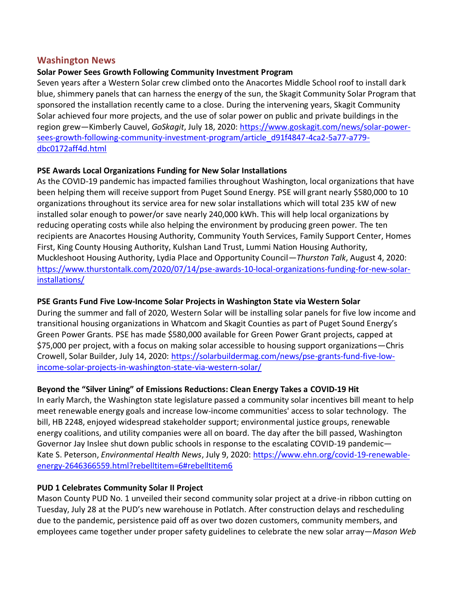### **Washington News**

### **Solar Power Sees Growth Following Community Investment Program**

Seven years after a Western Solar crew climbed onto the Anacortes Middle School roof to install dark blue, shimmery panels that can harness the energy of the sun, the Skagit Community Solar Program that sponsored the installation recently came to a close. During the intervening years, Skagit Community Solar achieved four more projects, and the use of solar power on public and private buildings in the region grew—Kimberly Cauvel, *GoSkagit*, July 18, 2020: [https://www.goskagit.com/news/solar-power](https://www.goskagit.com/news/solar-power-sees-growth-following-community-investment-program/article_d91f4847-4ca2-5a77-a779-dbc0172aff4d.html)[sees-growth-following-community-investment-program/article\\_d91f4847-4ca2-5a77-a779](https://www.goskagit.com/news/solar-power-sees-growth-following-community-investment-program/article_d91f4847-4ca2-5a77-a779-dbc0172aff4d.html) [dbc0172aff4d.html](https://www.goskagit.com/news/solar-power-sees-growth-following-community-investment-program/article_d91f4847-4ca2-5a77-a779-dbc0172aff4d.html)

### **PSE Awards Local Organizations Funding for New Solar Installations**

As the COVID-19 pandemic has impacted families throughout Washington, local organizations that have been helping them will receive support from Puget Sound Energy. PSE will grant nearly \$580,000 to 10 organizations throughout its service area for new solar installations which will total 235 kW of new installed solar enough to power/or save nearly 240,000 kWh. This will help local organizations by reducing operating costs while also helping the environment by producing green power. The ten recipients are Anacortes Housing Authority, Community Youth Services, Family Support Center, Homes First, King County Housing Authority, Kulshan Land Trust, Lummi Nation Housing Authority, Muckleshoot Housing Authority, Lydia Place and Opportunity Council—*Thurston Talk*, August 4, 2020: [https://www.thurstontalk.com/2020/07/14/pse-awards-10-local-organizations-funding-for-new-solar](https://www.thurstontalk.com/2020/07/14/pse-awards-10-local-organizations-funding-for-new-solar-installations/)[installations/](https://www.thurstontalk.com/2020/07/14/pse-awards-10-local-organizations-funding-for-new-solar-installations/)

### **[PSE Grants Fund Five Low-Income Solar Projects in Washington State via Western Solar](https://solarbuildermag.com/news/pse-grants-fund-five-low-income-solar-projects-in-washington-state-via-western-solar/)**

During the summer and fall of 2020, [Western Solar](https://www.westernsolarinc.com/) will be installing solar panels for five low income and transitional housing organizations in Whatcom and Skagit Counties as part of Puget Sound Energy's Green Power Grants. PSE has made \$580,000 available for Green Power Grant projects, capped at \$75,000 per project, with a focus on making solar accessible to housing support organizations—Chris Crowell, Solar Builder, July 14, 2020: [https://solarbuildermag.com/news/pse-grants-fund-five-low](https://solarbuildermag.com/news/pse-grants-fund-five-low-income-solar-projects-in-washington-state-via-western-solar/)[income-solar-projects-in-washington-state-via-western-solar/](https://solarbuildermag.com/news/pse-grants-fund-five-low-income-solar-projects-in-washington-state-via-western-solar/)

# **Beyond the "Silver Lining" of Emissions Reductions: Clean Energy Takes a COVID-19 Hit**

In early March, the Washington state legislature passed a community solar incentives bill meant to help meet renewable energy goals and increase low-income communities' access to solar technology. The bill, HB 2248, enjoyed widespread stakeholder support; environmental justice groups, renewable energy coalitions, and utility companies were all on board. The day after the bill passed, Washington Governor Jay Inslee shut down public schools in response to the escalating COVID-19 pandemic— Kate S. Peterson, *Environmental Health News*, July 9, 2020: [https://www.ehn.org/covid-19-renewable](https://www.ehn.org/covid-19-renewable-energy-2646366559.html?rebelltitem=6#rebelltitem6)[energy-2646366559.html?rebelltitem=6#rebelltitem6](https://www.ehn.org/covid-19-renewable-energy-2646366559.html?rebelltitem=6#rebelltitem6)

### **PUD 1 Celebrates Community Solar II Project**

Mason County PUD No. 1 unveiled their second community solar project at a drive-in ribbon cutting on Tuesday, July 28 at the PUD's new warehouse in Potlatch. After construction delays and rescheduling due to the pandemic, persistence paid off as over two dozen customers, community members, and employees came together under proper safety guidelines to celebrate the new solar array—*Mason Web*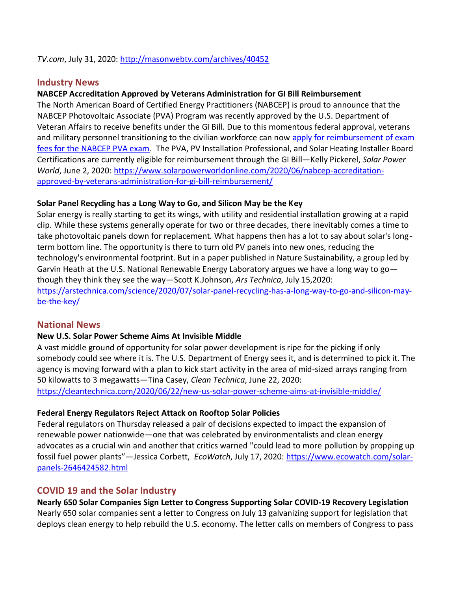*TV.com*, July 31, 2020[: http://masonwebtv.com/archives/40452](http://masonwebtv.com/archives/40452)

# **Industry News**

### **NABCEP Accreditation Approved by Veterans Administration for GI Bill Reimbursement**

The North American Board of Certified Energy Practitioners (NABCEP) is proud to announce that the NABCEP Photovoltaic Associate (PVA) Program was recently approved by the U.S. Department of Veteran Affairs to receive benefits under the GI Bill. Due to this momentous federal approval, veterans and military personnel transitioning to the civilian workforce can now apply for reimbursement of exam [fees for the NABCEP PVA exam.](https://www.nabcep.org/veterans/) The PVA, PV Installation Professional, and Solar Heating Installer Board Certifications are currently eligible for reimbursement through the GI Bill—Kelly Pickerel, *Solar Power World*, June 2, 2020: [https://www.solarpowerworldonline.com/2020/06/nabcep-accreditation](https://www.solarpowerworldonline.com/2020/06/nabcep-accreditation-approved-by-veterans-administration-for-gi-bill-reimbursement/)[approved-by-veterans-administration-for-gi-bill-reimbursement/](https://www.solarpowerworldonline.com/2020/06/nabcep-accreditation-approved-by-veterans-administration-for-gi-bill-reimbursement/)

### **Solar Panel Recycling has a Long Way to Go, and Silicon May be the Key**

Solar energy is really starting to get its wings, with utility and residential installation growing at a rapid clip. While these systems generally operate for two or three decades, there inevitably comes a time to take photovoltaic panels down for replacement. What happens then has a lot to say about solar's longterm bottom line. The opportunity is there to turn old PV panels into new ones, reducing the technology's environmental footprint. But in a paper published in Nature Sustainability, a group led by Garvin Heath at the U.S. National Renewable Energy Laboratory argues we have a long way to go though they think they see the way—Scott K.Johnson, *Ars Technica*, July 15,2020: [https://arstechnica.com/science/2020/07/solar-panel-recycling-has-a-long-way-to-go-and-silicon-may](https://arstechnica.com/science/2020/07/solar-panel-recycling-has-a-long-way-to-go-and-silicon-may-be-the-key/)[be-the-key/](https://arstechnica.com/science/2020/07/solar-panel-recycling-has-a-long-way-to-go-and-silicon-may-be-the-key/)

# **National News**

### **New U.S. Solar Power Scheme Aims At Invisible Middle**

A vast middle ground of opportunity for solar power development is ripe for the picking if only somebody could see where it is. The U.S. Department of Energy sees it, and is determined to pick it. The agency is moving forward with a plan to kick start activity in the area of mid-sized arrays ranging from 50 kilowatts to 3 megawatts—Tina Casey, *Clean Technica*, June 22, 2020:

<https://cleantechnica.com/2020/06/22/new-us-solar-power-scheme-aims-at-invisible-middle/>

### **Federal Energy Regulators Reject Attack on Rooftop Solar Policies**

Federal regulators on Thursday released a pair of decisions expected to impact the expansion of renewable power nationwide—one that was celebrated by environmentalists and clean energy advocates as a crucial win and another that critics warned "could lead to more pollution by propping up fossil fuel power plants"—Jessica Corbett, *EcoWatch*, July 17, 2020: [https://www.ecowatch.com/solar](https://www.ecowatch.com/solar-panels-2646424582.html)[panels-2646424582.html](https://www.ecowatch.com/solar-panels-2646424582.html)

# **COVID 19 and the Solar Industry**

**Nearly 650 Solar Companies Sign Letter to Congress Supporting Solar COVID-19 Recovery Legislation** Nearly 650 solar companies sent a letter to Congress on July 13 galvanizing support for legislation that deploys clean energy to help rebuild the U.S. economy. The letter calls on members of Congress to pass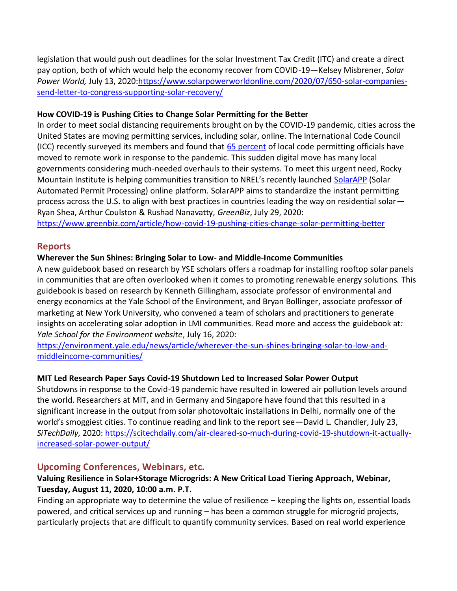legislation that would push out deadlines for the solar Investment Tax Credit (ITC) and create a direct pay option, both of which would help the economy recover from COVID-19—Kelsey Misbrener, *Solar Power World,* July 13, 2020[:https://www.solarpowerworldonline.com/2020/07/650-solar-companies](https://www.solarpowerworldonline.com/2020/07/650-solar-companies-send-letter-to-congress-supporting-solar-recovery/)[send-letter-to-congress-supporting-solar-recovery/](https://www.solarpowerworldonline.com/2020/07/650-solar-companies-send-letter-to-congress-supporting-solar-recovery/)

### **How COVID-19 is Pushing Cities to Change Solar Permitting for the Better**

In order to meet social distancing requirements brought on by the COVID-19 pandemic, cities across the United States are moving permitting services, including solar, online. The International Code Council (ICC) recently surveyed its members and found that [65 percent](https://www.iccsafe.org/advocacy/coronavirus-response-center/survey/) of local code permitting officials have moved to remote work in response to the pandemic. This sudden digital move has many local governments considering much-needed overhauls to their systems. To meet this urgent need, Rocky Mountain Institute is helping communities transition to NREL's recently launched [SolarAPP](https://solarapp.nrel.gov/) (Solar Automated Permit Processing) online platform. SolarAPP aims to standardize the instant permitting process across the U.S. to align with best practices in countries leading the way on residential solar— Ryan Shea, Arthur Coulston & Rushad Nanavatty, *GreenBiz*, July 29, 2020:

<https://www.greenbiz.com/article/how-covid-19-pushing-cities-change-solar-permitting-better>

# **Reports**

# **Wherever the Sun Shines: Bringing Solar to Low- and Middle-Income Communities**

A new guidebook based on research by YSE scholars offers a roadmap for installing rooftop solar panels in communities that are often overlooked when it comes to promoting renewable energy solutions. This guidebook is based on research by Kenneth Gillingham, associate professor of environmental and energy economics at the Yale School of the Environment, and Bryan Bollinger, associate professor of marketing at New York University, who convened a team of scholars and practitioners to generate insights on accelerating solar adoption in LMI communities. Read more and access the guidebook at*: Yale School for the Environment website*, July 16, 2020:

[https://environment.yale.edu/news/article/wherever-the-sun-shines-bringing-solar-to-low-and](https://environment.yale.edu/news/article/wherever-the-sun-shines-bringing-solar-to-low-and-middleincome-communities/)[middleincome-communities/](https://environment.yale.edu/news/article/wherever-the-sun-shines-bringing-solar-to-low-and-middleincome-communities/)

# **MIT Led Research Paper Says Covid-19 Shutdown Led to Increased Solar Power Output**

Shutdowns in response to the Covid-19 pandemic have resulted in lowered air pollution levels around the world. Researchers at MIT, and in Germany and Singapore have found that this resulted in a significant increase in the output from solar photovoltaic installations in Delhi, normally one of the world's smoggiest cities. To continue reading and link to the report see—David L. Chandler, July 23, *SiTechDaily,* 2020: [https://scitechdaily.com/air-cleared-so-much-during-covid-19-shutdown-it-actually](https://scitechdaily.com/air-cleared-so-much-during-covid-19-shutdown-it-actually-increased-solar-power-output/)[increased-solar-power-output/](https://scitechdaily.com/air-cleared-so-much-during-covid-19-shutdown-it-actually-increased-solar-power-output/)

# **Upcoming Conferences, Webinars, etc.**

# **Valuing Resilience in Solar+Storage Microgrids: A New Critical Load Tiering Approach, Webinar, Tuesday, August 11, 2020, 10:00 a.m. P.T.**

Finding an appropriate way to determine the value of resilience – keeping the lights on, essential loads powered, and critical services up and running – has been a common struggle for microgrid projects, particularly projects that are difficult to quantify community services. Based on real world experience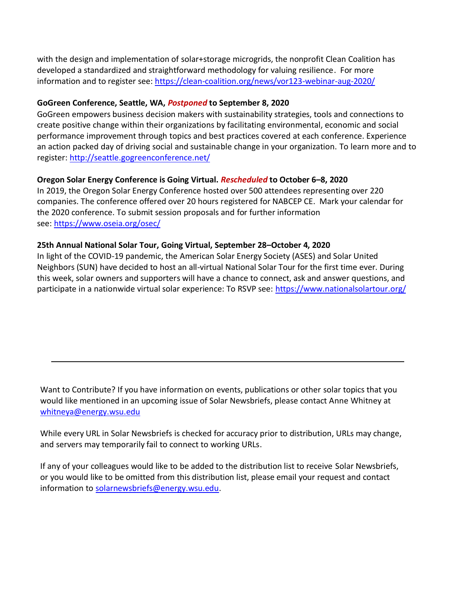with the design and implementation of solar+storage microgrids, the nonprofit Clean Coalition has developed a standardized and straightforward methodology for valuing resilience. For more information and to register see: <https://clean-coalition.org/news/vor123-webinar-aug-2020/>

### **GoGreen Conference, Seattle, WA,** *Postponed* **to September 8, 2020**

GoGreen empowers business decision makers with sustainability strategies, tools and connections to create positive change within their organizations by facilitating environmental, economic and social performance improvement through topics and best practices covered at each conference. Experience an action packed day of driving social and sustainable change in your organization. To learn more and to register:<http://seattle.gogreenconference.net/>

### **Oregon Solar Energy Conference is Going Virtual.** *Rescheduled* **to October 6–8, 2020**

In 2019, the Oregon Solar Energy Conference hosted over 500 attendees representing over 220 companies. The conference offered over 20 hours registered for NABCEP CE. Mark your calendar for the 2020 conference. To submit session proposals and for further information see: <https://www.oseia.org/osec/>

#### **25th Annual National Solar Tour, Going Virtual, September 28–October 4, 2020**

In light of the COVID-19 pandemic, the [American Solar Energy Society](http://r20.rs6.net/tn.jsp?f=001d7Tm7tm4EPMLevR39faL9AZmSObg2-oG0qxMrzakhqWJYy2-WN6vU-Uw13Jjmr7lBb6_aPivripi1ebV4s4xkL_8r6WYpNaQ5tr_2wOJkH2DiPy2FOvfmekM7mTxa55Y9kBdRzw3xY4=&c=5VI2W7Re7OQ6zVk_FoMv7oHe6WPw18K6Fd5MjJW4qnHpdqSp5g3_Fg==&ch=f3GY_GrcnUnh7gMeE6gZz4DlCjLCIN7uhZXm0RIgAPuYPTLg_08v5g==) (ASES) an[d Solar United](http://r20.rs6.net/tn.jsp?f=001d7Tm7tm4EPMLevR39faL9AZmSObg2-oG0qxMrzakhqWJYy2-WN6vU-Jl0lEw7Nmobl5fs56mcqJJUKPMMiYFQBpF9-mVpZppbZUmtUGFrH-UhWibuYQVFmD9h-99EsErUq_0QqaVaQ7g4lmyuyQPxBLSnhg__K4-&c=5VI2W7Re7OQ6zVk_FoMv7oHe6WPw18K6Fd5MjJW4qnHpdqSp5g3_Fg==&ch=f3GY_GrcnUnh7gMeE6gZz4DlCjLCIN7uhZXm0RIgAPuYPTLg_08v5g==)  [Neighbors](http://r20.rs6.net/tn.jsp?f=001d7Tm7tm4EPMLevR39faL9AZmSObg2-oG0qxMrzakhqWJYy2-WN6vU-Jl0lEw7Nmobl5fs56mcqJJUKPMMiYFQBpF9-mVpZppbZUmtUGFrH-UhWibuYQVFmD9h-99EsErUq_0QqaVaQ7g4lmyuyQPxBLSnhg__K4-&c=5VI2W7Re7OQ6zVk_FoMv7oHe6WPw18K6Fd5MjJW4qnHpdqSp5g3_Fg==&ch=f3GY_GrcnUnh7gMeE6gZz4DlCjLCIN7uhZXm0RIgAPuYPTLg_08v5g==) (SUN) have decided to host an all-virtual National Solar Tour for the first time ever. During this week, solar owners and supporters will have a chance to connect, ask and answer questions, and participate in a nationwide virtual solar experience: To RSVP see:<https://www.nationalsolartour.org/>

Want to Contribute? If you have information on events, publications or other solar topics that you would like mentioned in an upcoming issue of Solar Newsbriefs, please contact Anne Whitney at [whitneya@energy.wsu.edu](mailto:whitneya@energy.wsu.edu)

While every URL in Solar Newsbriefs is checked for accuracy prior to distribution, URLs may change, and servers may temporarily fail to connect to working URLs.

If any of your colleagues would like to be added to the distribution list to receive Solar Newsbriefs, or you would like to be omitted from this distribution list, please email your request and contact information to [solarnewsbriefs@energy.wsu.edu.](mailto:solarnewsbriefs@energy.wsu.edu?subject=Solar%20Newsbriefs)